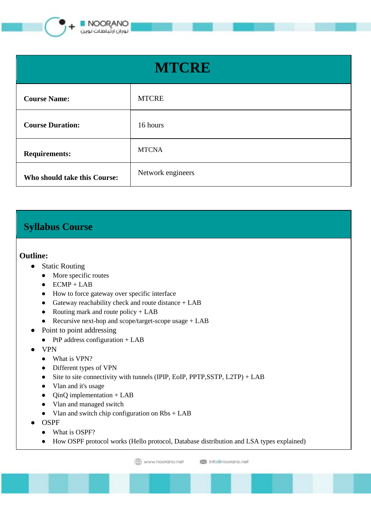

| <b>MTCRE</b>                 |                   |
|------------------------------|-------------------|
| <b>Course Name:</b>          | <b>MTCRE</b>      |
| <b>Course Duration:</b>      | 16 hours          |
| <b>Requirements:</b>         | <b>MTCNA</b>      |
| Who should take this Course: | Network engineers |

## **Syllabus Course**

## **Outline:**

- Static Routing
	- More specific routes
	- $\bullet$  ECMP + LAB
	- How to force gateway over specific interface
	- Gateway reachability check and route distance + LAB
	- Routing mark and route policy  $+$  LAB
	- Recursive next-hop and scope/target-scope usage + LAB
- Point to point addressing
	- $\bullet$  PtP address configuration + LAB
- VPN
	- What is VPN?
	- Different types of VPN
	- Site to site connectivity with tunnels (IPIP, EoIP, PPTP, SSTP, L2TP) + LAB
	- Vlan and it's usage
	- $\bullet$  QinQ implementation + LAB
	- Vlan and managed switch
	- Vlan and switch chip configuration on Rbs + LAB
- **OSPF** 
	- What is OSPF?
	- How OSPF protocol works (Hello protocol, Database distribution and LSA types explained)

**ED** www.noorano.net 图 info@noorano.net